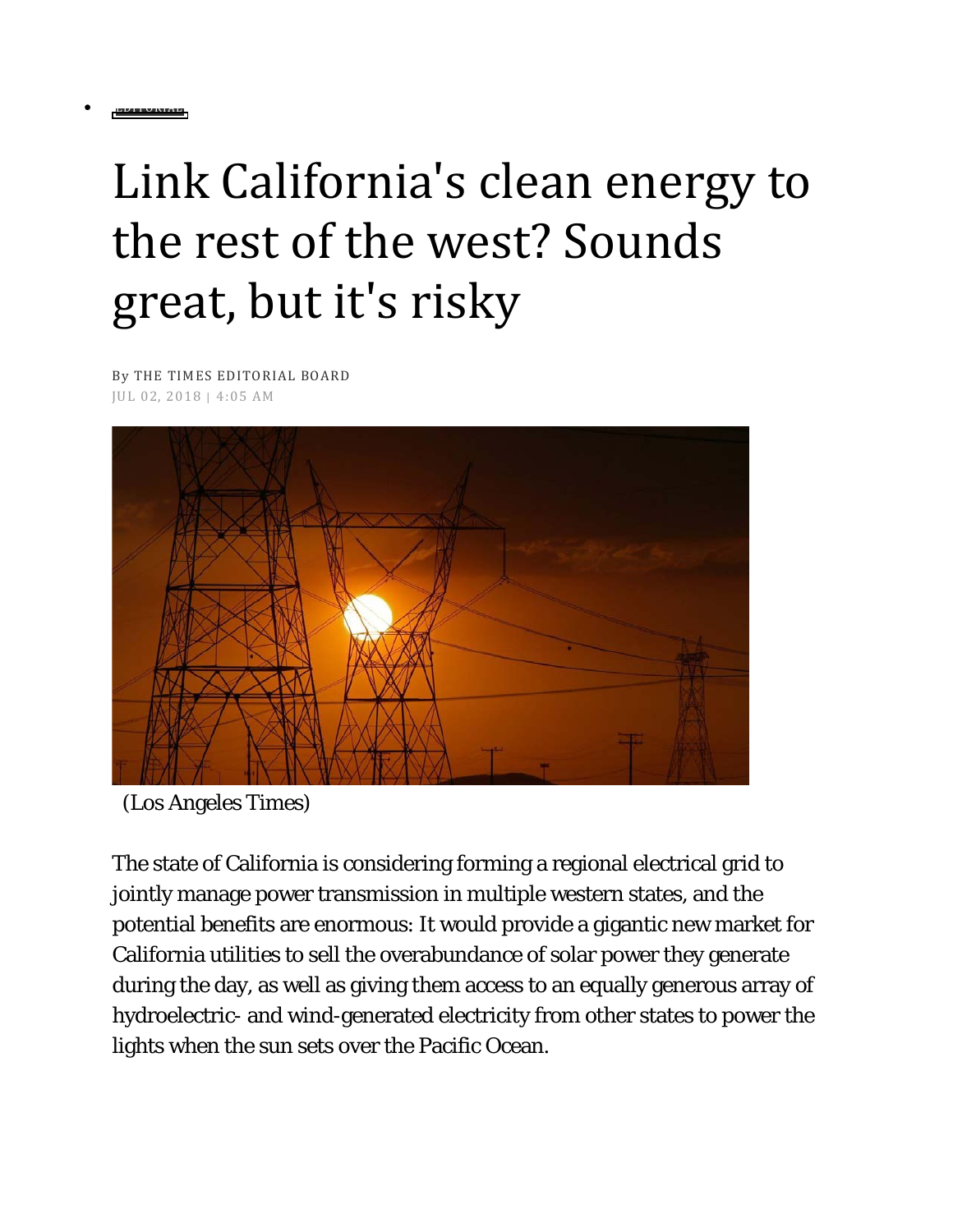## Link California's clean energy to the rest of the west? Sounds great, but it's risky

By [THE TIMES EDITORIAL BOARD](http://www.latimes.com/opinion/editorials/la-ed-big-grid-risks-20180701-story.html#nt=byline) JUL 02, 2018 | 4:05 AM

• EDITORIAL



(Los Angeles Times)

The state of California is considering forming a regional electrical grid to jointly manage power transmission in multiple western states, and the potential benefits are enormous: It would provide a gigantic new market for California utilities to sell the overabundance of solar power they generate during the day, as well as giving them access to an equally generous array of hydroelectric- and wind-generated electricity from other states to power the lights when the sun sets over the Pacific Ocean.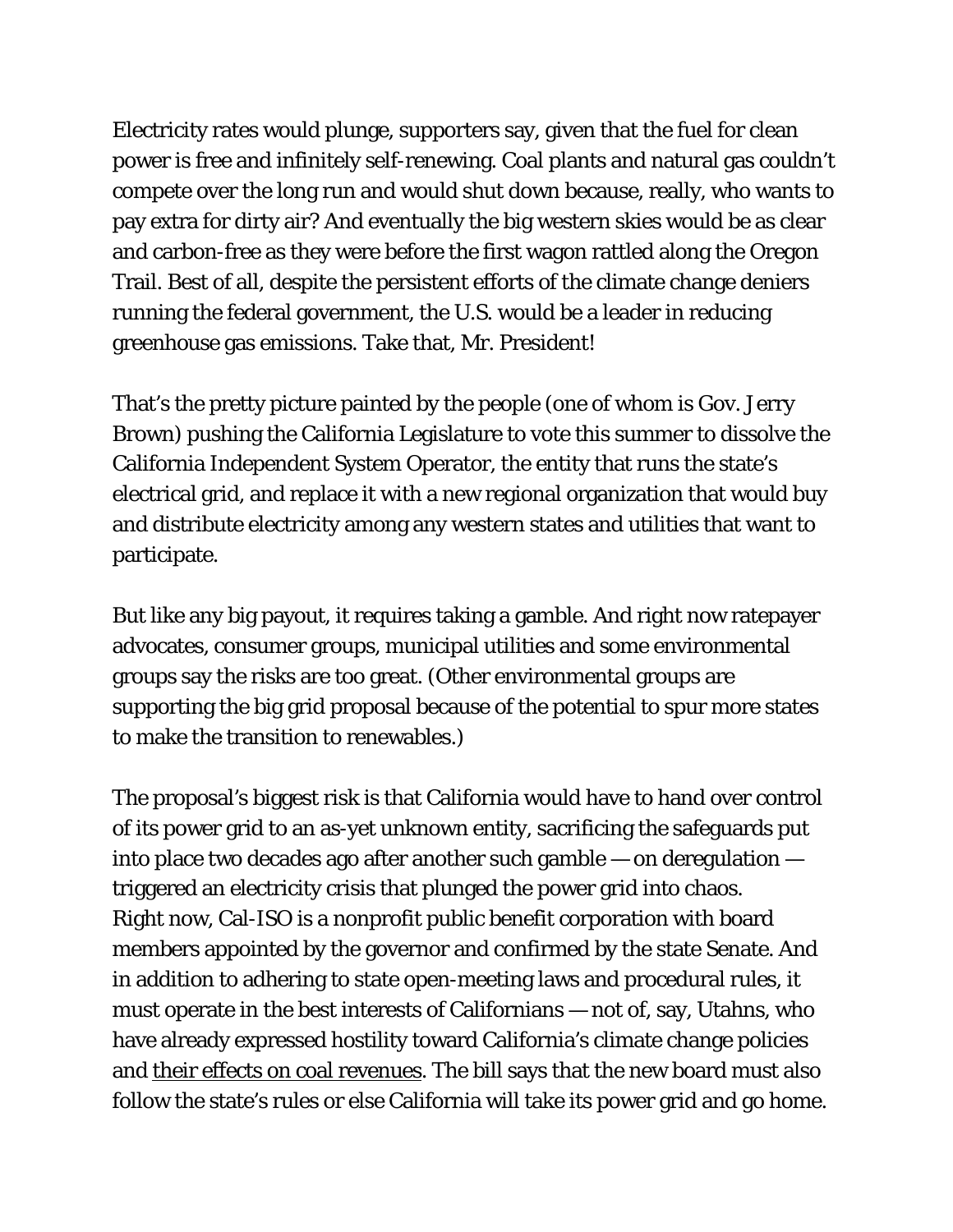Electricity rates would plunge, supporters say, given that the fuel for clean power is free and infinitely self-renewing. Coal plants and natural gas couldn't compete over the long run and would shut down because, really, who wants to pay extra for dirty air? And eventually the big western skies would be as clear and carbon-free as they were before the first wagon rattled along the Oregon Trail. Best of all, despite the persistent efforts of the climate change deniers running the federal government, the U.S. would be a leader in reducing greenhouse gas emissions. Take that, Mr. President!

That's the pretty picture painted by the people (one of whom is Gov. Jerry Brown) pushing the California Legislature to vote this summer to dissolve the California Independent System Operator, the entity that runs the state's electrical grid, and replace it with a new regional organization that would buy and distribute electricity among any western states and utilities that want to participate.

But like any big payout, it requires taking a gamble. And right now ratepayer advocates, consumer groups, municipal utilities and some environmental groups say the risks are too great. (Other environmental groups are supporting the big grid proposal because of the potential to spur more states to make the transition to renewables.)

The proposal's biggest risk is that California would have to hand over control of its power grid to an as-yet unknown entity, sacrificing the safeguards put into place two decades ago after another such gamble — on deregulation triggered an electricity crisis that plunged the power grid into chaos. Right now, Cal-ISO is a nonprofit public benefit corporation with board members appointed by the governor and confirmed by the state Senate. And in addition to adhering to state open-meeting laws and procedural rules, it must operate in the best interests of Californians — not of, say, Utahns, who have already expressed hostility toward California's climate change policies and [their effects on coal revenues.](https://www.sltrib.com/news/environment/2018/02/11/are-california-climate-policies-unfair-to-utah/) The bill says that the new board must also follow the state's rules or else California will take its power grid and go home.